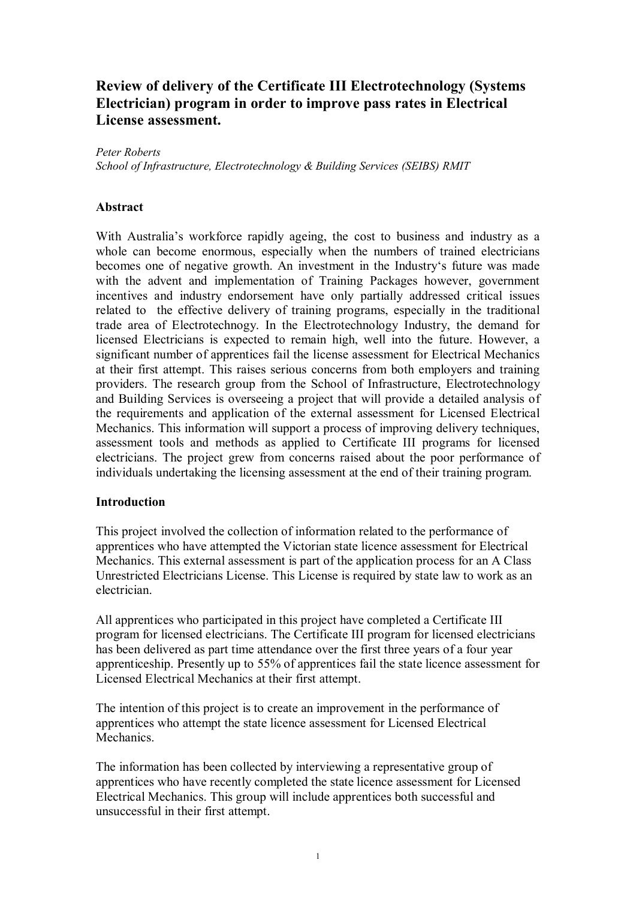# **Review of delivery of the Certificate III Electrotechnology (Systems Electrician) program in order to improve pass rates in Electrical License assessment.**

*Peter Roberts School of Infrastructure, Electrotechnology & Building Services (SEIBS) RMIT*

### **Abstract**

With Australia's workforce rapidly ageing, the cost to business and industry as a whole can become enormous, especially when the numbers of trained electricians becomes one of negative growth. An investment in the Industry's future was made with the advent and implementation of Training Packages however, government incentives and industry endorsement have only partially addressed critical issues related to the effective delivery of training programs, especially in the traditional trade area of Electrotechnogy. In the Electrotechnology Industry, the demand for licensed Electricians is expected to remain high, well into the future. However, a significant number of apprentices fail the license assessment for Electrical Mechanics at their first attempt. This raises serious concerns from both employers and training providers. The research group from the School of Infrastructure, Electrotechnology and Building Services is overseeing a project that will provide a detailed analysis of the requirements and application of the external assessment for Licensed Electrical Mechanics. This information will support a process of improving delivery techniques, assessment tools and methods as applied to Certificate III programs for licensed electricians. The project grew from concerns raised about the poor performance of individuals undertaking the licensing assessment at the end of their training program.

#### **Introduction**

This project involved the collection of information related to the performance of apprentices who have attempted the Victorian state licence assessment for Electrical Mechanics. This external assessment is part of the application process for an A Class Unrestricted Electricians License. This License is required by state law to work as an electrician.

All apprentices who participated in this project have completed a Certificate III program for licensed electricians. The Certificate III program for licensed electricians has been delivered as part time attendance over the first three years of a four year apprenticeship. Presently up to 55% of apprentices fail the state licence assessment for Licensed Electrical Mechanics at their first attempt.

The intention of this project is to create an improvement in the performance of apprentices who attempt the state licence assessment for Licensed Electrical **Mechanics** 

The information has been collected by interviewing a representative group of apprentices who have recently completed the state licence assessment for Licensed Electrical Mechanics. This group will include apprentices both successful and unsuccessful in their first attempt.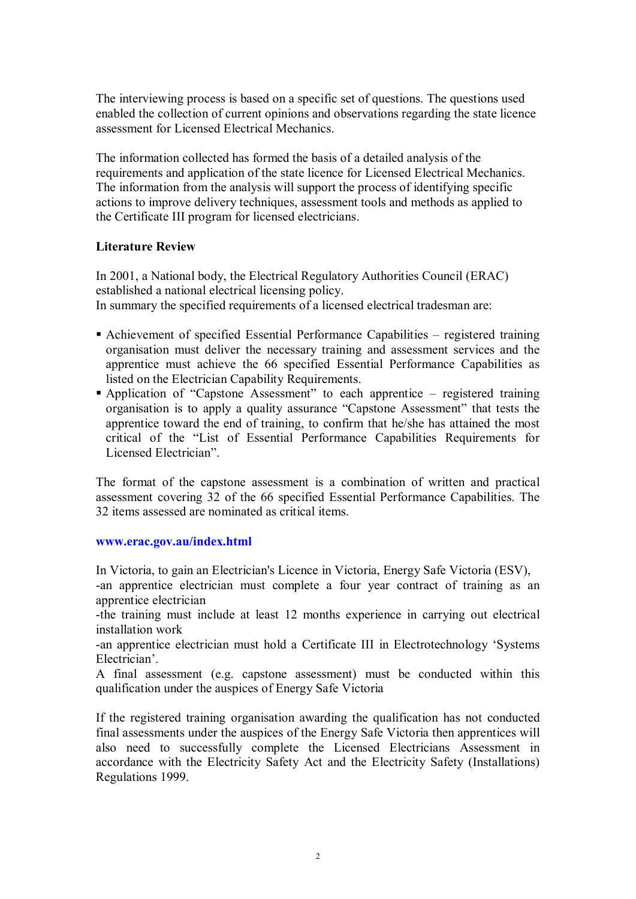The interviewing process is based on a specific set of questions. The questions used enabled the collection of current opinions and observations regarding the state licence assessment for Licensed Electrical Mechanics.

The information collected has formed the basis of a detailed analysis of the requirements and application of the state licence for Licensed Electrical Mechanics. The information from the analysis will support the process of identifying specific actions to improve delivery techniques, assessment tools and methods as applied to the Certificate III program for licensed electricians.

#### **Literature Review**

In 2001, a National body, the Electrical Regulatory Authorities Council (ERAC) established a national electrical licensing policy. In summary the specified requirements of a licensed electrical tradesman are:

- ß Achievement of specified Essential Performance Capabilities registered training organisation must deliver the necessary training and assessment services and the apprentice must achieve the 66 specified Essential Performance Capabilities as listed on the Electrician Capability Requirements.
- Application of "Capstone Assessment" to each apprentice registered training organisation is to apply a quality assurance "Capstone Assessment" that tests the apprentice toward the end of training, to confirm that he/she has attained the most critical of the "List of Essential Performance Capabilities Requirements for Licensed Electrician".

The format of the capstone assessment is a combination of written and practical assessment covering 32 of the 66 specified Essential Performance Capabilities. The 32 items assessed are nominated as critical items.

#### **[www.erac.gov.au/index.html](http://www.erac.gov.au/index.html)**

In Victoria, to gain an Electrician's Licence in Victoria, Energy Safe Victoria (ESV),

an apprentice electrician must complete a four year contract of training as an apprentice electrician

the training must include at least 12 months experience in carrying out electrical installation work

an apprentice electrician must hold a Certificate III in Electrotechnology 'Systems Electrician'.

A final assessment (e.g. capstone assessment) must be conducted within this qualification under the auspices of Energy Safe Victoria

If the registered training organisation awarding the qualification has not conducted final assessments under the auspices of the Energy Safe Victoria then apprentices will also need to successfully complete the Licensed Electricians Assessment in accordance with the Electricity Safety Act and the Electricity Safety (Installations) Regulations 1999.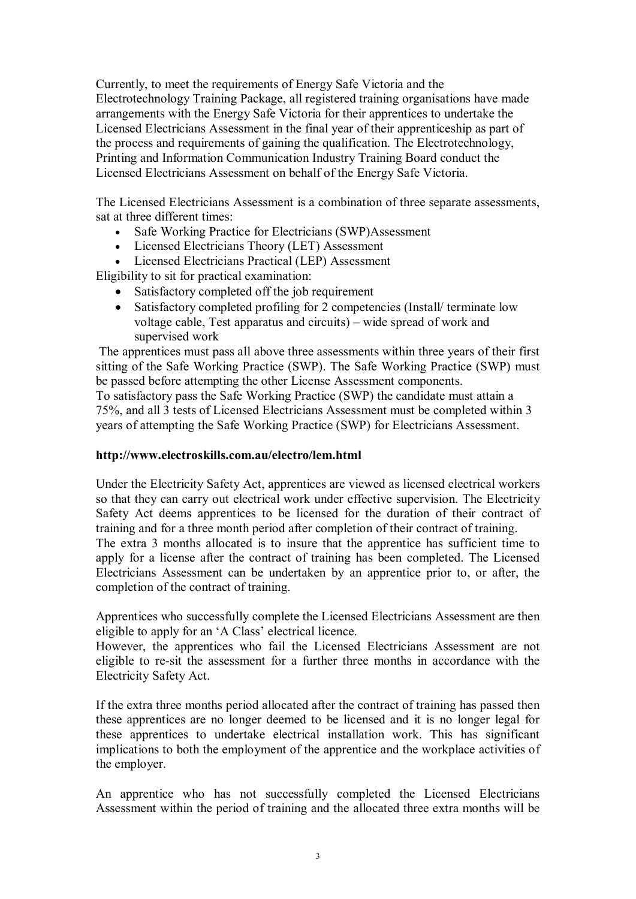Currently, to meet the requirements of Energy Safe Victoria and the Electrotechnology Training Package, all registered training organisations have made arrangements with the Energy Safe Victoria for their apprentices to undertake the Licensed Electricians Assessment in the final year of their apprenticeship as part of the process and requirements of gaining the qualification. The Electrotechnology, Printing and Information Communication Industry Training Board conduct the Licensed Electricians Assessment on behalf of the Energy Safe Victoria.

The Licensed Electricians Assessment is a combination of three separate assessments, sat at three different times:

- · Safe Working Practice for Electricians (SWP)Assessment
- · Licensed Electricians Theory (LET) Assessment
- · Licensed Electricians Practical (LEP) Assessment

Eligibility to sit for practical examination:

- · Satisfactory completed off the job requirement
- Satisfactory completed profiling for 2 competencies (Install/ terminate low voltage cable, Test apparatus and circuits) – wide spread of work and supervised work

The apprentices must pass all above three assessments within three years of their first sitting of the Safe Working Practice (SWP). The Safe Working Practice (SWP) must be passed before attempting the other License Assessment components.

To satisfactory pass the Safe Working Practice (SWP) the candidate must attain a 75%, and all 3 tests of Licensed Electricians Assessment must be completed within 3 years of attempting the Safe Working Practice (SWP) for Electricians Assessment.

#### **http://www.electroskills.com.au/electro/lem.html**

Under the Electricity Safety Act, apprentices are viewed as licensed electrical workers so that they can carry out electrical work under effective supervision. The Electricity Safety Act deems apprentices to be licensed for the duration of their contract of training and for a three month period after completion of their contract of training. The extra 3 months allocated is to insure that the apprentice has sufficient time to apply for a license after the contract of training has been completed. The Licensed Electricians Assessment can be undertaken by an apprentice prior to, or after, the completion of the contract of training.

Apprentices who successfully complete the Licensed Electricians Assessment are then eligible to apply for an 'A Class' electrical licence.

However, the apprentices who fail the Licensed Electricians Assessment are not eligible to re-sit the assessment for a further three months in accordance with the Electricity Safety Act.

If the extra three months period allocated after the contract of training has passed then these apprentices are no longer deemed to be licensed and it is no longer legal for these apprentices to undertake electrical installation work. This has significant implications to both the employment of the apprentice and the workplace activities of the employer.

An apprentice who has not successfully completed the Licensed Electricians Assessment within the period of training and the allocated three extra months will be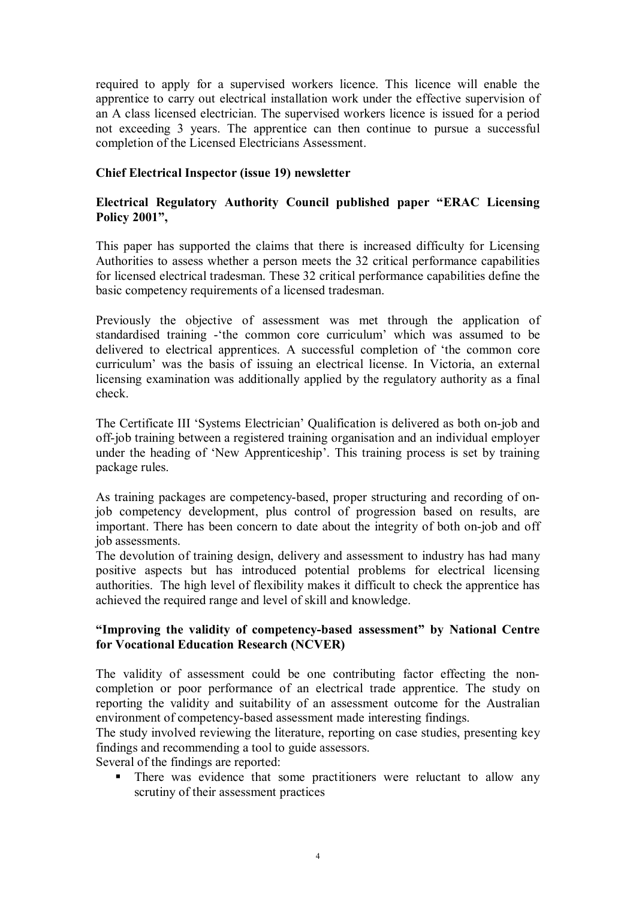required to apply for a supervised workers licence. This licence will enable the apprentice to carry out electrical installation work under the effective supervision of an A class licensed electrician. The supervised workers licence is issued for a period not exceeding 3 years. The apprentice can then continue to pursue a successful completion of the Licensed Electricians Assessment.

# **Chief Electrical Inspector (issue 19) newsletter**

# **Electrical Regulatory Authority Council published paper "ERAC Licensing Policy 2001",**

This paper has supported the claims that there is increased difficulty for Licensing Authorities to assess whether a person meets the 32 critical performance capabilities for licensed electrical tradesman. These 32 critical performance capabilities define the basic competency requirements of a licensed tradesman.

Previously the objective of assessment was met through the application of standardised training - the common core curriculum' which was assumed to be delivered to electrical apprentices. A successful completion of 'the common core curriculum' was the basis of issuing an electrical license. In Victoria, an external licensing examination was additionally applied by the regulatory authority as a final check.

The Certificate III 'Systems Electrician' Qualification is delivered as both on-job and off-job training between a registered training organisation and an individual employer under the heading of 'New Apprenticeship'. This training process is set by training package rules.

As training packages are competency-based, proper structuring and recording of onjob competency development, plus control of progression based on results, are important. There has been concern to date about the integrity of both on-job and off job assessments.

The devolution of training design, delivery and assessment to industry has had many positive aspects but has introduced potential problems for electrical licensing authorities. The high level of flexibility makes it difficult to check the apprentice has achieved the required range and level of skill and knowledge.

# **"Improving the validity of competencybased assessment" by National Centre for Vocational Education Research (NCVER)**

The validity of assessment could be one contributing factor effecting the non completion or poor performance of an electrical trade apprentice. The study on reporting the validity and suitability of an assessment outcome for the Australian environment of competency-based assessment made interesting findings.

The study involved reviewing the literature, reporting on case studies, presenting key findings and recommending a tool to guide assessors.

Several of the findings are reported:

There was evidence that some practitioners were reluctant to allow any scrutiny of their assessment practices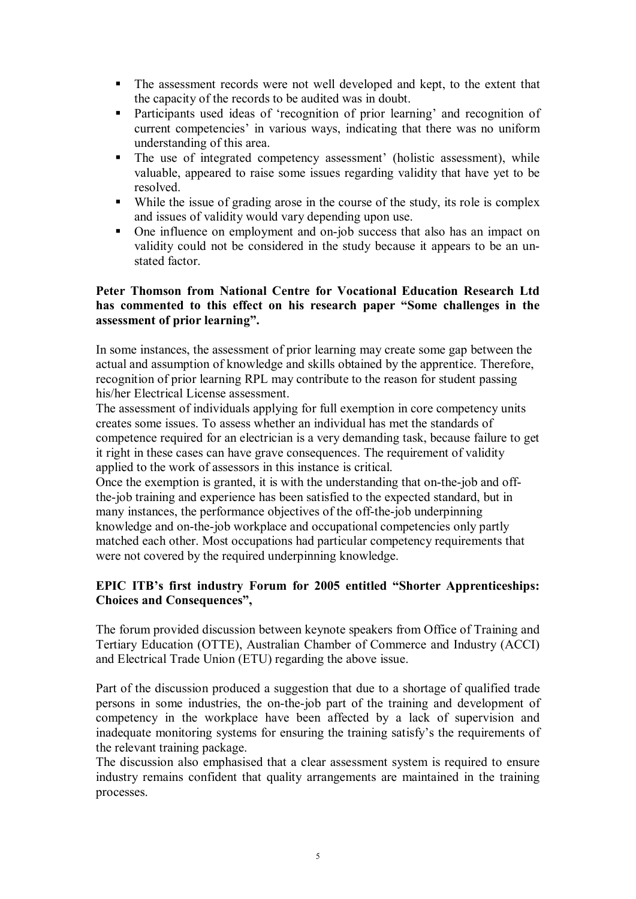- The assessment records were not well developed and kept, to the extent that the capacity of the records to be audited was in doubt.
- ß Participants used ideas of 'recognition of prior learning' and recognition of current competencies' in various ways, indicating that there was no uniform understanding of this area.
- The use of integrated competency assessment' (holistic assessment), while valuable, appeared to raise some issues regarding validity that have yet to be resolved.
- While the issue of grading arose in the course of the study, its role is complex and issues of validity would vary depending upon use.
- One influence on employment and on-job success that also has an impact on validity could not be considered in the study because it appears to be an un stated factor.

### **Peter Thomson from National Centre for Vocational Education Research Ltd has commented to this effect on his research paper "Some challenges in the assessment of prior learning".**

In some instances, the assessment of prior learning may create some gap between the actual and assumption of knowledge and skills obtained by the apprentice. Therefore, recognition of prior learning RPL may contribute to the reason for student passing his/her Electrical License assessment.

The assessment of individuals applying for full exemption in core competency units creates some issues. To assess whether an individual has met the standards of competence required for an electrician is a very demanding task, because failure to get it right in these cases can have grave consequences. The requirement of validity applied to the work of assessors in this instance is critical.

Once the exemption is granted, it is with the understanding that on-the-job and offthe-job training and experience has been satisfied to the expected standard, but in many instances, the performance objectives of the off-the-job underpinning knowledge and on-the-job workplace and occupational competencies only partly matched each other. Most occupations had particular competency requirements that were not covered by the required underpinning knowledge.

# **EPIC ITB's first industry Forum for 2005 entitled "Shorter Apprenticeships: Choices and Consequences",**

The forum provided discussion between keynote speakers from Office of Training and Tertiary Education (OTTE), Australian Chamber of Commerce and Industry (ACCI) and Electrical Trade Union (ETU) regarding the above issue.

Part of the discussion produced a suggestion that due to a shortage of qualified trade persons in some industries, the on-the-job part of the training and development of competency in the workplace have been affected by a lack of supervision and inadequate monitoring systems for ensuring the training satisfy's the requirements of the relevant training package.

The discussion also emphasised that a clear assessment system is required to ensure industry remains confident that quality arrangements are maintained in the training processes.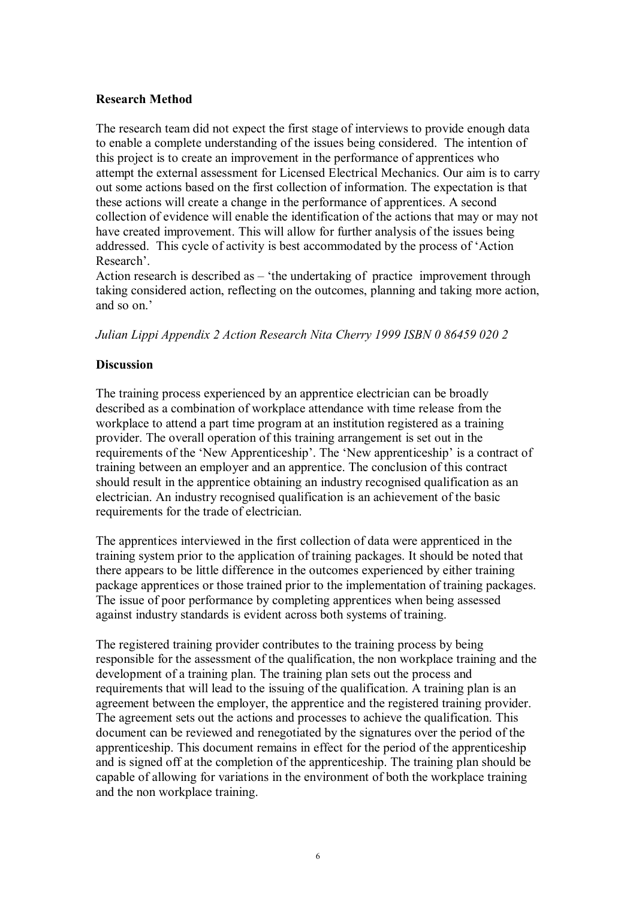#### **Research Method**

The research team did not expect the first stage of interviews to provide enough data to enable a complete understanding of the issues being considered. The intention of this project is to create an improvement in the performance of apprentices who attempt the external assessment for Licensed Electrical Mechanics. Our aim is to carry out some actions based on the first collection of information. The expectation is that these actions will create a change in the performance of apprentices. A second collection of evidence will enable the identification of the actions that may or may not have created improvement. This will allow for further analysis of the issues being addressed. This cycle of activity is best accommodated by the process of 'Action Research'.

Action research is described as – 'the undertaking of practice improvement through taking considered action, reflecting on the outcomes, planning and taking more action, and so on.'

*Julian Lippi Appendix 2 Action Research Nita Cherry 1999 ISBN 0 86459 020 2*

### **Discussion**

The training process experienced by an apprentice electrician can be broadly described as a combination of workplace attendance with time release from the workplace to attend a part time program at an institution registered as a training provider. The overall operation of this training arrangement is set out in the requirements of the 'New Apprenticeship'. The 'New apprenticeship' is a contract of training between an employer and an apprentice. The conclusion of this contract should result in the apprentice obtaining an industry recognised qualification as an electrician. An industry recognised qualification is an achievement of the basic requirements for the trade of electrician.

The apprentices interviewed in the first collection of data were apprenticed in the training system prior to the application of training packages. It should be noted that there appears to be little difference in the outcomes experienced by either training package apprentices or those trained prior to the implementation of training packages. The issue of poor performance by completing apprentices when being assessed against industry standards is evident across both systems of training.

The registered training provider contributes to the training process by being responsible for the assessment of the qualification, the non workplace training and the development of a training plan. The training plan sets out the process and requirements that will lead to the issuing of the qualification. A training plan is an agreement between the employer, the apprentice and the registered training provider. The agreement sets out the actions and processes to achieve the qualification. This document can be reviewed and renegotiated by the signatures over the period of the apprenticeship. This document remains in effect for the period of the apprenticeship and is signed off at the completion of the apprenticeship. The training plan should be capable of allowing for variations in the environment of both the workplace training and the non workplace training.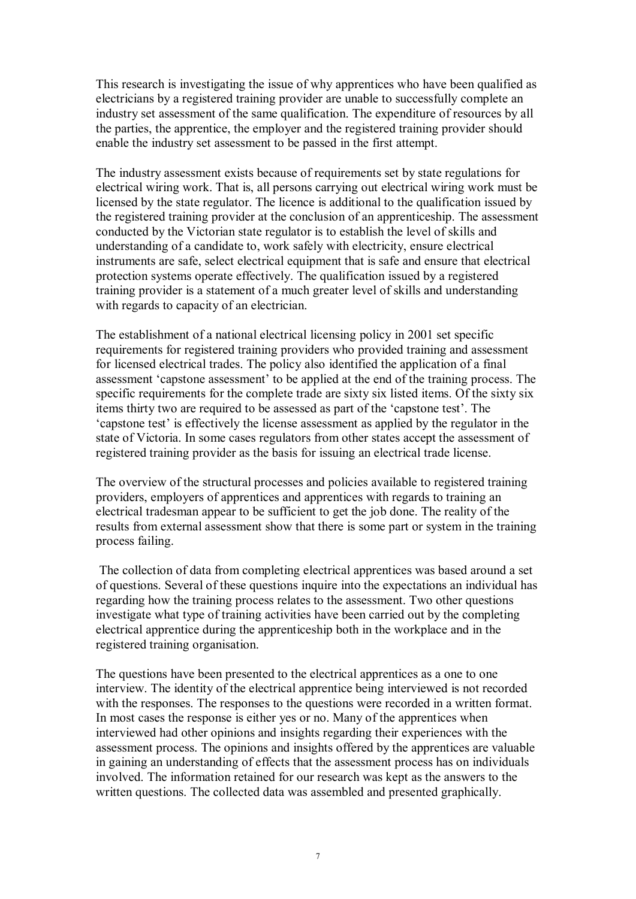This research is investigating the issue of why apprentices who have been qualified as electricians by a registered training provider are unable to successfully complete an industry set assessment of the same qualification. The expenditure of resources by all the parties, the apprentice, the employer and the registered training provider should enable the industry set assessment to be passed in the first attempt.

The industry assessment exists because of requirements set by state regulations for electrical wiring work. That is, all persons carrying out electrical wiring work must be licensed by the state regulator. The licence is additional to the qualification issued by the registered training provider at the conclusion of an apprenticeship. The assessment conducted by the Victorian state regulator is to establish the level of skills and understanding of a candidate to, work safely with electricity, ensure electrical instruments are safe, select electrical equipment that is safe and ensure that electrical protection systems operate effectively. The qualification issued by a registered training provider is a statement of a much greater level of skills and understanding with regards to capacity of an electrician.

The establishment of a national electrical licensing policy in 2001 set specific requirements for registered training providers who provided training and assessment for licensed electrical trades. The policy also identified the application of a final assessment 'capstone assessment' to be applied at the end of the training process. The specific requirements for the complete trade are sixty six listed items. Of the sixty six items thirty two are required to be assessed as part of the 'capstone test'. The 'capstone test' is effectively the license assessment as applied by the regulator in the state of Victoria. In some cases regulators from other states accept the assessment of registered training provider as the basis for issuing an electrical trade license.

The overview of the structural processes and policies available to registered training providers, employers of apprentices and apprentices with regards to training an electrical tradesman appear to be sufficient to get the job done. The reality of the results from external assessment show that there is some part or system in the training process failing.

The collection of data from completing electrical apprentices was based around a set of questions. Several of these questions inquire into the expectations an individual has regarding how the training process relates to the assessment. Two other questions investigate what type of training activities have been carried out by the completing electrical apprentice during the apprenticeship both in the workplace and in the registered training organisation.

The questions have been presented to the electrical apprentices as a one to one interview. The identity of the electrical apprentice being interviewed is not recorded with the responses. The responses to the questions were recorded in a written format. In most cases the response is either yes or no. Many of the apprentices when interviewed had other opinions and insights regarding their experiences with the assessment process. The opinions and insights offered by the apprentices are valuable in gaining an understanding of effects that the assessment process has on individuals involved. The information retained for our research was kept as the answers to the written questions. The collected data was assembled and presented graphically.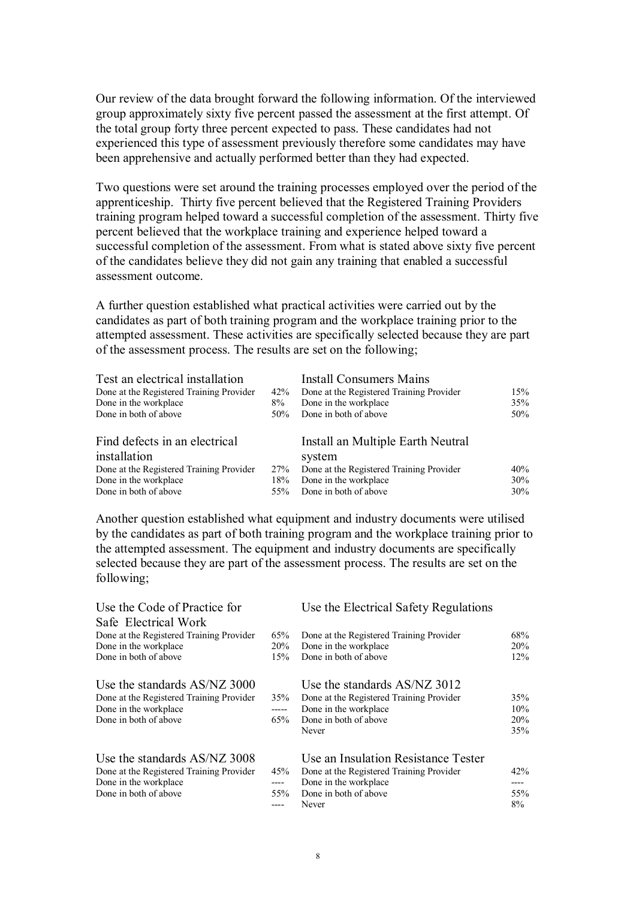Our review of the data brought forward the following information. Of the interviewed group approximately sixty five percent passed the assessment at the first attempt. Of the total group forty three percent expected to pass. These candidates had not experienced this type of assessment previously therefore some candidates may have been apprehensive and actually performed better than they had expected.

Two questions were set around the training processes employed over the period of the apprenticeship. Thirty five percent believed that the Registered Training Providers training program helped toward a successful completion of the assessment. Thirty five percent believed that the workplace training and experience helped toward a successful completion of the assessment. From what is stated above sixty five percent of the candidates believe they did not gain any training that enabled a successful assessment outcome.

A further question established what practical activities were carried out by the candidates as part of both training program and the workplace training prior to the attempted assessment. These activities are specifically selected because they are part of the assessment process. The results are set on the following;

| Test an electrical installation          |     | <b>Install Consumers Mains</b>           |     |
|------------------------------------------|-----|------------------------------------------|-----|
| Done at the Registered Training Provider | 42% | Done at the Registered Training Provider | 15% |
| Done in the workplace                    | 8%  | Done in the workplace                    | 35% |
| Done in both of above                    | 50% | Done in both of above                    | 50% |
| Find defects in an electrical            |     | Install an Multiple Earth Neutral        |     |
| installation                             |     | system                                   |     |
| Done at the Registered Training Provider | 27% | Done at the Registered Training Provider | 40% |
| Done in the workplace                    | 18% | Done in the workplace                    | 30% |
| Done in both of above                    | 55% | Done in both of above                    | 30% |

Another question established what equipment and industry documents were utilised by the candidates as part of both training program and the workplace training prior to the attempted assessment. The equipment and industry documents are specifically selected because they are part of the assessment process. The results are set on the following;

| Use the Code of Practice for                                                                                               |                     | Use the Electrical Safety Regulations                                                                                                      |                                 |
|----------------------------------------------------------------------------------------------------------------------------|---------------------|--------------------------------------------------------------------------------------------------------------------------------------------|---------------------------------|
| Safe Electrical Work<br>Done at the Registered Training Provider<br>Done in the workplace<br>Done in both of above         | 65%<br>20%<br>15%   | Done at the Registered Training Provider<br>Done in the workplace<br>Done in both of above                                                 | 68%<br>20%<br>12%               |
| Use the standards AS/NZ 3000<br>Done at the Registered Training Provider<br>Done in the workplace<br>Done in both of above | 35%<br>-----<br>65% | Use the standards AS/NZ 3012<br>Done at the Registered Training Provider<br>Done in the workplace<br>Done in both of above<br>Never        | 35%<br>10%<br><b>20%</b><br>35% |
| Use the standards AS/NZ 3008<br>Done at the Registered Training Provider<br>Done in the workplace<br>Done in both of above | 45%<br>----<br>55%  | Use an Insulation Resistance Tester<br>Done at the Registered Training Provider<br>Done in the workplace<br>Done in both of above<br>Never | 42%<br>----<br>55%<br>8%        |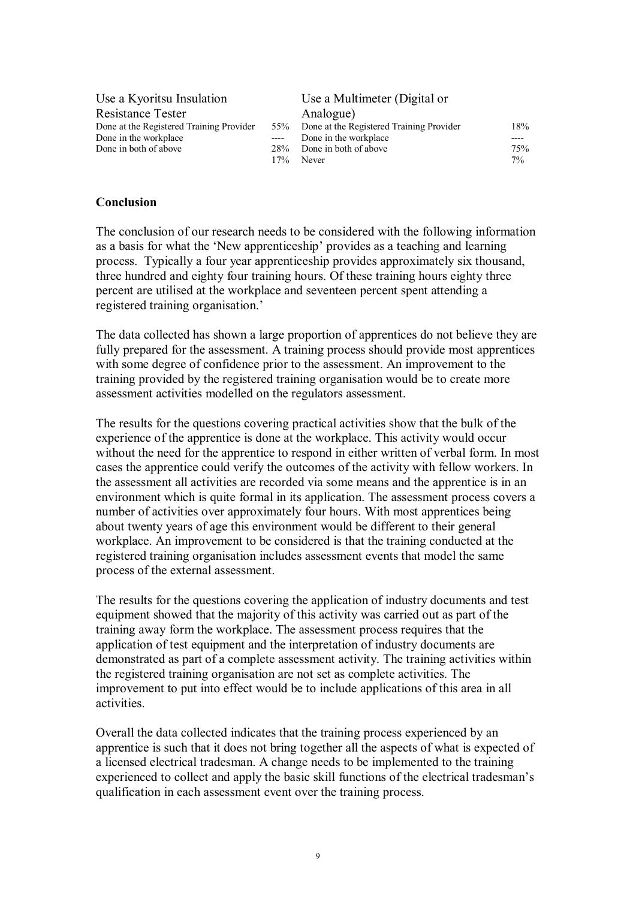| Use a Kyoritsu Insulation                |      | Use a Multimeter (Digital or             |       |
|------------------------------------------|------|------------------------------------------|-------|
| <b>Resistance Tester</b>                 |      | Analogue)                                |       |
| Done at the Registered Training Provider | 55%  | Done at the Registered Training Provider | 18%   |
| Done in the workplace                    | ---- | Done in the workplace                    |       |
| Done in both of above                    | 28%  | Done in both of above                    | 75%   |
|                                          | 17%  | Never                                    | $7\%$ |

#### **Conclusion**

The conclusion of our research needs to be considered with the following information as a basis for what the 'New apprenticeship' provides as a teaching and learning process. Typically a four year apprenticeship provides approximately six thousand, three hundred and eighty four training hours. Of these training hours eighty three percent are utilised at the workplace and seventeen percent spent attending a registered training organisation.'

The data collected has shown a large proportion of apprentices do not believe they are fully prepared for the assessment. A training process should provide most apprentices with some degree of confidence prior to the assessment. An improvement to the training provided by the registered training organisation would be to create more assessment activities modelled on the regulators assessment.

The results for the questions covering practical activities show that the bulk of the experience of the apprentice is done at the workplace. This activity would occur without the need for the apprentice to respond in either written of verbal form. In most cases the apprentice could verify the outcomes of the activity with fellow workers. In the assessment all activities are recorded via some means and the apprentice is in an environment which is quite formal in its application. The assessment process covers a number of activities over approximately four hours. With most apprentices being about twenty years of age this environment would be different to their general workplace. An improvement to be considered is that the training conducted at the registered training organisation includes assessment events that model the same process of the external assessment.

The results for the questions covering the application of industry documents and test equipment showed that the majority of this activity was carried out as part of the training away form the workplace. The assessment process requires that the application of test equipment and the interpretation of industry documents are demonstrated as part of a complete assessment activity. The training activities within the registered training organisation are not set as complete activities. The improvement to put into effect would be to include applications of this area in all activities.

Overall the data collected indicates that the training process experienced by an apprentice is such that it does not bring together all the aspects of what is expected of a licensed electrical tradesman. A change needs to be implemented to the training experienced to collect and apply the basic skill functions of the electrical tradesman's qualification in each assessment event over the training process.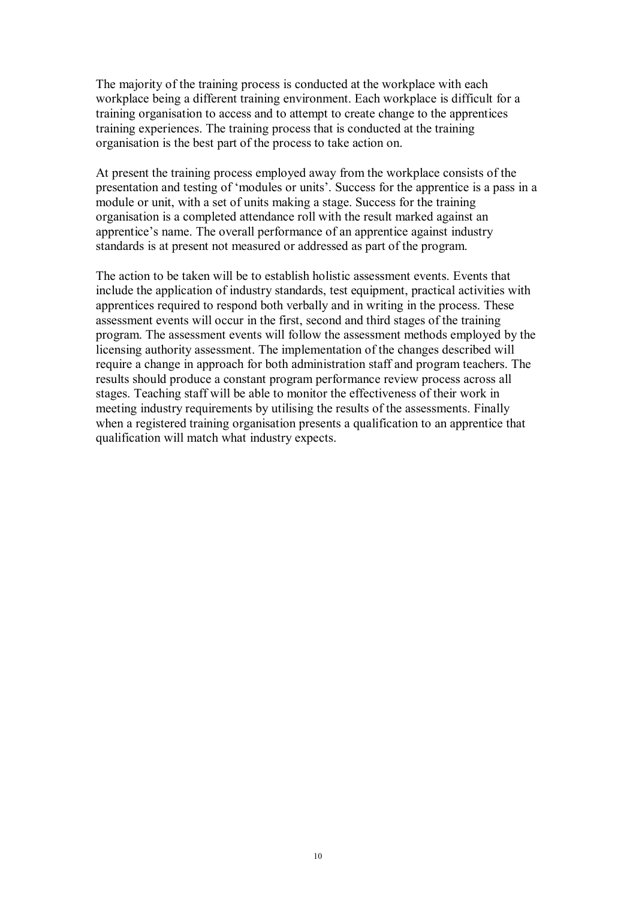The majority of the training process is conducted at the workplace with each workplace being a different training environment. Each workplace is difficult for a training organisation to access and to attempt to create change to the apprentices training experiences. The training process that is conducted at the training organisation is the best part of the process to take action on.

At present the training process employed away from the workplace consists of the presentation and testing of 'modules or units'. Success for the apprentice is a pass in a module or unit, with a set of units making a stage. Success for the training organisation is a completed attendance roll with the result marked against an apprentice's name. The overall performance of an apprentice against industry standards is at present not measured or addressed as part of the program.

The action to be taken will be to establish holistic assessment events. Events that include the application of industry standards, test equipment, practical activities with apprentices required to respond both verbally and in writing in the process. These assessment events will occur in the first, second and third stages of the training program. The assessment events will follow the assessment methods employed by the licensing authority assessment. The implementation of the changes described will require a change in approach for both administration staff and program teachers. The results should produce a constant program performance review process across all stages. Teaching staff will be able to monitor the effectiveness of their work in meeting industry requirements by utilising the results of the assessments. Finally when a registered training organisation presents a qualification to an apprentice that qualification will match what industry expects.